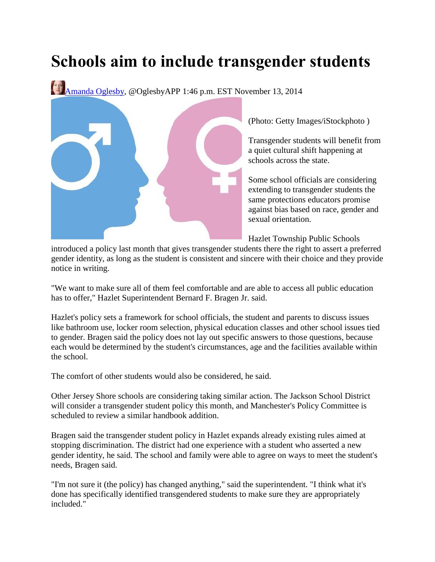## **Schools aim to include transgender students**

[Amanda Oglesby,](http://www.app.com/staff/11775/amanda-oglesby/) @OglesbyAPP 1:46 p.m. EST November 13, 2014



(Photo: Getty Images/iStockphoto )

Transgender students will benefit from a quiet cultural shift happening at schools across the state.

Some school officials are considering extending to transgender students the same protections educators promise against bias based on race, gender and sexual orientation.

Hazlet Township Public Schools

introduced a policy last month that gives transgender students there the right to assert a preferred gender identity, as long as the student is consistent and sincere with their choice and they provide notice in writing.

"We want to make sure all of them feel comfortable and are able to access all public education has to offer," Hazlet Superintendent Bernard F. Bragen Jr. said.

Hazlet's policy sets a framework for school officials, the student and parents to discuss issues like bathroom use, locker room selection, physical education classes and other school issues tied to gender. Bragen said the policy does not lay out specific answers to those questions, because each would be determined by the student's circumstances, age and the facilities available within the school.

The comfort of other students would also be considered, he said.

Other Jersey Shore schools are considering taking similar action. The Jackson School District will consider a transgender student policy this month, and Manchester's Policy Committee is scheduled to review a similar handbook addition.

Bragen said the transgender student policy in Hazlet expands already existing rules aimed at stopping discrimination. The district had one experience with a student who asserted a new gender identity, he said. The school and family were able to agree on ways to meet the student's needs, Bragen said.

"I'm not sure it (the policy) has changed anything," said the superintendent. "I think what it's done has specifically identified transgendered students to make sure they are appropriately included."